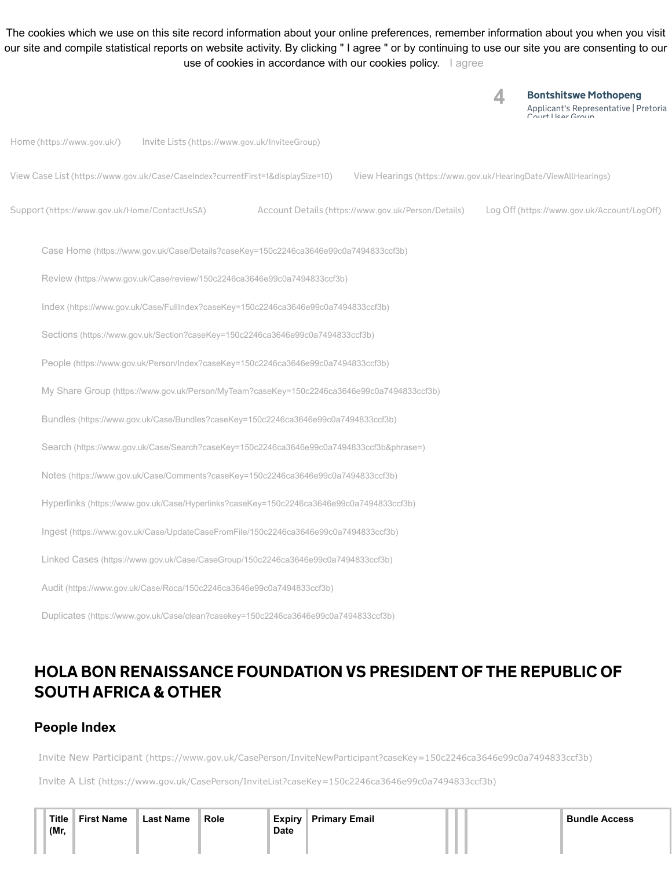The cookies which we use on this site record information about your online preferences, remember information about you when you visit our site and compile statistical reports on website activity. By clicking " I agree " or by continuing to use our site you are consenting to our use of cookies in accordance with our cookies policy. [I agree](https://sajustice.caselines.com/Person?caseKey=150c2246ca3646e99c0a7494833ccf3b)

Bontshitswe Mothopeng Applicant's Representative | Pretoria pasant o nopre<br>urt Hear Grour **4** Home [\(https://www.gov.uk/\)](https://sajustice.caselines.com/) Invite Lists [\(https://www.gov.uk/InviteeGroup\)](https://sajustice.caselines.com/InviteeGroup) View Case List [\(https://www.gov.uk/Case/CaseIndex?currentFirst=1&displaySize=10\)](https://sajustice.caselines.com/Case/CaseIndex?currentFirst=1&displaySize=10) View Hearings [\(https://www.gov.uk/HearingDate/ViewAllHearings\)](https://sajustice.caselines.com/HearingDate/ViewAllHearings) Support [\(https://www.gov.uk/Home/ContactUsSA\)](https://sajustice.caselines.com/Home/ContactUsSA) Account Details [\(https://www.gov.uk/Person/Details\)](https://sajustice.caselines.com/Person/Details) Log Off [\(https://www.gov.uk/Account/LogOff\)](https://sajustice.caselines.com/Account/LogOff) Case Home [\(https://www.gov.uk/Case/Details?caseKey=150c2246ca3646e99c0a7494833ccf3b\)](https://sajustice.caselines.com/Case/Details?caseKey=150c2246ca3646e99c0a7494833ccf3b) Review [\(https://www.gov.uk/Case/review/150c2246ca3646e99c0a7494833ccf3b\)](https://sajustice.caselines.com/Case/review/150c2246ca3646e99c0a7494833ccf3b) Index [\(https://www.gov.uk/Case/FullIndex?caseKey=150c2246ca3646e99c0a7494833ccf3b\)](https://sajustice.caselines.com/Case/FullIndex?caseKey=150c2246ca3646e99c0a7494833ccf3b) Sections [\(https://www.gov.uk/Section?caseKey=150c2246ca3646e99c0a7494833ccf3b\)](https://sajustice.caselines.com/Section?caseKey=150c2246ca3646e99c0a7494833ccf3b) People [\(https://www.gov.uk/Person/Index?caseKey=150c2246ca3646e99c0a7494833ccf3b\)](https://sajustice.caselines.com/Person/Index?caseKey=150c2246ca3646e99c0a7494833ccf3b) My Share Group [\(https://www.gov.uk/Person/MyTeam?caseKey=150c2246ca3646e99c0a7494833ccf3b\)](https://sajustice.caselines.com/Person/MyTeam?caseKey=150c2246ca3646e99c0a7494833ccf3b) Bundles [\(https://www.gov.uk/Case/Bundles?caseKey=150c2246ca3646e99c0a7494833ccf3b\)](https://sajustice.caselines.com/Case/Bundles?caseKey=150c2246ca3646e99c0a7494833ccf3b) Search [\(https://www.gov.uk/Case/Search?caseKey=150c2246ca3646e99c0a7494833ccf3b&phrase=\)](https://sajustice.caselines.com/Case/Search?caseKey=150c2246ca3646e99c0a7494833ccf3b&phrase=) Notes [\(https://www.gov.uk/Case/Comments?caseKey=150c2246ca3646e99c0a7494833ccf3b\)](https://sajustice.caselines.com/Case/Comments?caseKey=150c2246ca3646e99c0a7494833ccf3b) Hyperlinks [\(https://www.gov.uk/Case/Hyperlinks?caseKey=150c2246ca3646e99c0a7494833ccf3b\)](https://sajustice.caselines.com/Case/Hyperlinks?caseKey=150c2246ca3646e99c0a7494833ccf3b) Ingest [\(https://www.gov.uk/Case/UpdateCaseFromFile/150c2246ca3646e99c0a7494833ccf3b\)](https://sajustice.caselines.com/Case/UpdateCaseFromFile/150c2246ca3646e99c0a7494833ccf3b) Linked Cases [\(https://www.gov.uk/Case/CaseGroup/150c2246ca3646e99c0a7494833ccf3b\)](https://sajustice.caselines.com/Case/CaseGroup/150c2246ca3646e99c0a7494833ccf3b) Audit [\(https://www.gov.uk/Case/Roca/150c2246ca3646e99c0a7494833ccf3b\)](https://sajustice.caselines.com/Case/Roca/150c2246ca3646e99c0a7494833ccf3b) Duplicates [\(https://www.gov.uk/Case/clean?casekey=150c2246ca3646e99c0a7494833ccf3b\)](https://sajustice.caselines.com/Case/clean?casekey=150c2246ca3646e99c0a7494833ccf3b)

## HOLA BON RENAISSANCE FOUNDATION VS PRESIDENT OF THE REPUBLIC OF SOUTH AFRICA & OTHER

## **People Index**

Invite New Participant [\(https://www.gov.uk/CasePerson/InviteNewParticipant?caseKey=150c2246ca3646e99c0a7494833ccf3b\)](https://sajustice.caselines.com/CasePerson/InviteNewParticipant?caseKey=150c2246ca3646e99c0a7494833ccf3b)

Invite A List [\(https://www.gov.uk/CasePerson/InviteList?caseKey=150c2246ca3646e99c0a7494833ccf3b\)](https://sajustice.caselines.com/CasePerson/InviteList?caseKey=150c2246ca3646e99c0a7494833ccf3b)

| Title | <b>First Name</b> | <b>Last Name</b> | <b>Role</b> | Expiry      | <b>Primary Email</b> |  | <sup>∖</sup> Bundle Access |
|-------|-------------------|------------------|-------------|-------------|----------------------|--|----------------------------|
| (Mr,  |                   |                  |             | <b>Date</b> |                      |  |                            |
|       |                   |                  |             |             |                      |  |                            |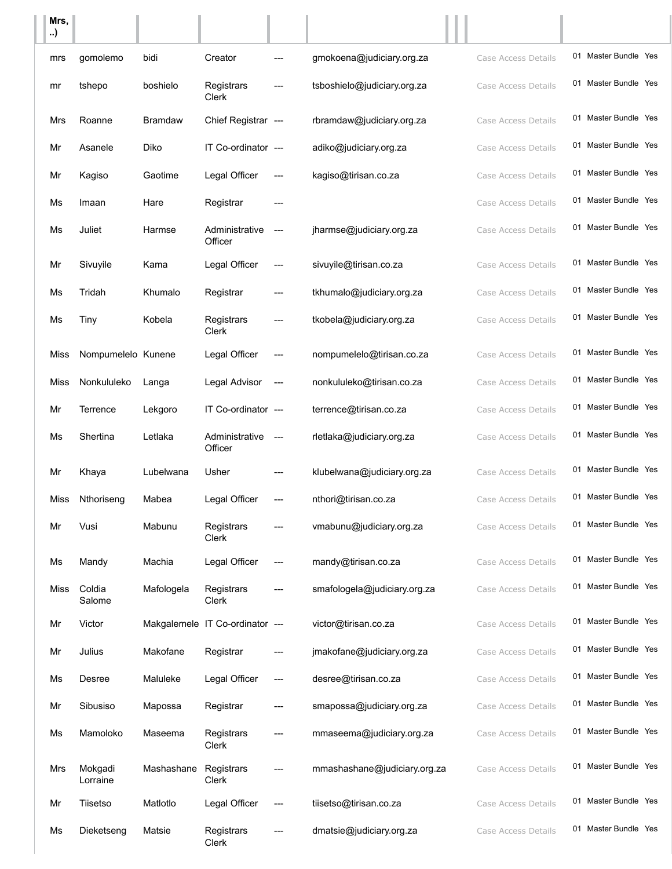| Mrs,<br>) |                     |                |                                 |               |                              |                     |                      |  |
|-----------|---------------------|----------------|---------------------------------|---------------|------------------------------|---------------------|----------------------|--|
| mrs       | qomolemo            | bidi           | Creator                         |               | gmokoena@judiciary.org.za    | Case Access Details | 01 Master Bundle Yes |  |
| mr        | tshepo              | boshielo       | Registrars<br>Clerk             |               | tsboshielo@judiciary.org.za  | Case Access Details | 01 Master Bundle Yes |  |
| Mrs       | Roanne              | <b>Bramdaw</b> | Chief Registrar ---             |               | rbramdaw@judiciary.org.za    | Case Access Details | 01 Master Bundle Yes |  |
| Mr        | Asanele             | Diko           | IT Co-ordinator ---             |               | adiko@judiciary.org.za       | Case Access Details | 01 Master Bundle Yes |  |
| Mr        | Kagiso              | Gaotime        | Legal Officer                   |               | kagiso@tirisan.co.za         | Case Access Details | 01 Master Bundle Yes |  |
| Ms        | Imaan               | Hare           | Registrar                       |               |                              | Case Access Details | 01 Master Bundle Yes |  |
| Ms        | Juliet              | Harmse         | Administrative<br>Officer       | $\frac{1}{2}$ | jharmse@judiciary.org.za     | Case Access Details | 01 Master Bundle Yes |  |
| Mr        | Sivuyile            | Kama           | Legal Officer                   | ---           | sivuyile@tirisan.co.za       | Case Access Details | 01 Master Bundle Yes |  |
| Ms        | Tridah              | Khumalo        | Registrar                       |               | tkhumalo@judiciary.org.za    | Case Access Details | 01 Master Bundle Yes |  |
| Ms        | Tiny                | Kobela         | Registrars<br>Clerk             |               | tkobela@judiciary.org.za     | Case Access Details | 01 Master Bundle Yes |  |
| Miss      | Nompumelelo Kunene  |                | Legal Officer                   | ---           | nompumelelo@tirisan.co.za    | Case Access Details | 01 Master Bundle Yes |  |
| Miss      | Nonkululeko         | Langa          | Legal Advisor                   | $---$         | nonkululeko@tirisan.co.za    | Case Access Details | 01 Master Bundle Yes |  |
| Mr        | Terrence            | Lekgoro        | IT Co-ordinator ---             |               | terrence@tirisan.co.za       | Case Access Details | 01 Master Bundle Yes |  |
| Ms        | Shertina            | Letlaka        | Administrative<br>Officer       | $\frac{1}{2}$ | rletlaka@judiciary.org.za    | Case Access Details | 01 Master Bundle Yes |  |
| Mr        | Khaya               | Lubelwana      | Usher                           | ---           | klubelwana@judiciary.org.za  | Case Access Details | 01 Master Bundle Yes |  |
| Miss      | Nthoriseng          | Mabea          | Legal Officer                   | ---           | nthori@tirisan.co.za         | Case Access Details | 01 Master Bundle Yes |  |
| Mr        | Vusi                | Mabunu         | Registrars<br>Clerk             |               | vmabunu@judiciary.org.za     | Case Access Details | 01 Master Bundle Yes |  |
| Ms        | Mandy               | Machia         | Legal Officer                   | ---           | mandy@tirisan.co.za          | Case Access Details | 01 Master Bundle Yes |  |
| Miss      | Coldia<br>Salome    | Mafologela     | Registrars<br>Clerk             |               | smafologela@judiciary.org.za | Case Access Details | 01 Master Bundle Yes |  |
| Mr        | Victor              |                | Makgalemele IT Co-ordinator --- |               | victor@tirisan.co.za         | Case Access Details | 01 Master Bundle Yes |  |
| Mr        | Julius              | Makofane       | Registrar                       | ---           | jmakofane@judiciary.org.za   | Case Access Details | 01 Master Bundle Yes |  |
| Ms        | Desree              | Maluleke       | Legal Officer                   | ---           | desree@tirisan.co.za         | Case Access Details | 01 Master Bundle Yes |  |
| Mr        | Sibusiso            | Mapossa        | Registrar                       | ---           | smapossa@judiciary.org.za    | Case Access Details | 01 Master Bundle Yes |  |
| Ms        | Mamoloko            | Maseema        | Registrars<br>Clerk             |               | mmaseema@judiciary.org.za    | Case Access Details | 01 Master Bundle Yes |  |
| Mrs       | Mokgadi<br>Lorraine | Mashashane     | Registrars<br>Clerk             |               | mmashashane@judiciary.org.za | Case Access Details | 01 Master Bundle Yes |  |
| Mr        | Tiisetso            | Matlotlo       | Legal Officer                   | ---           | tiisetso@tirisan.co.za       | Case Access Details | 01 Master Bundle Yes |  |
| Ms        | Dieketseng          | Matsie         | Registrars<br>Clerk             |               | dmatsie@judiciary.org.za     | Case Access Details | 01 Master Bundle Yes |  |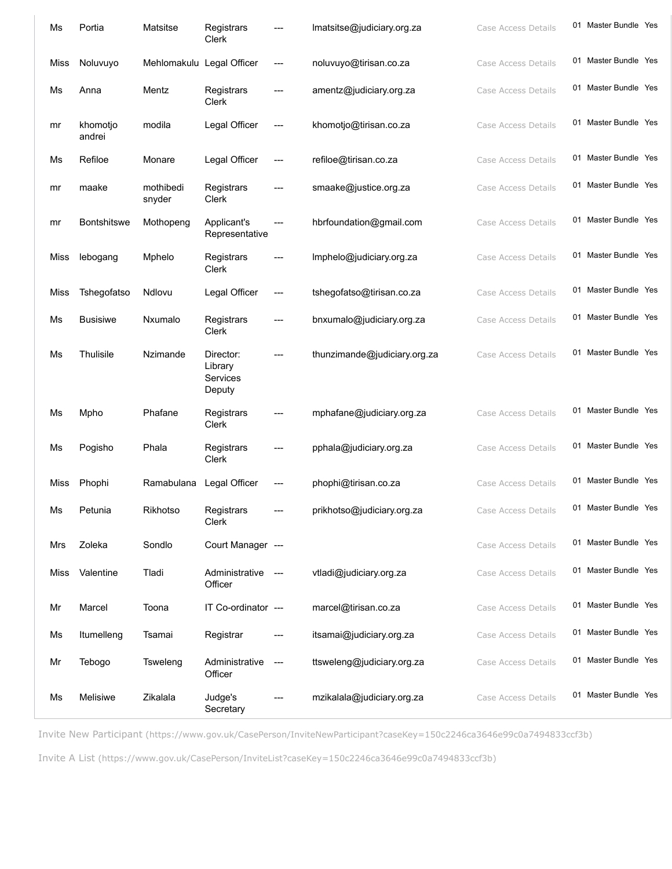| Ms   | Portia             | Matsitse                  | Registrars<br>Clerk                        |                          | Imatsitse@judiciary.org.za   | Case Access Details | 01 Master Bundle Yes |  |
|------|--------------------|---------------------------|--------------------------------------------|--------------------------|------------------------------|---------------------|----------------------|--|
| Miss | Noluvuyo           | Mehlomakulu Legal Officer |                                            | $---$                    | noluvuyo@tirisan.co.za       | Case Access Details | 01 Master Bundle Yes |  |
| Ms   | Anna               | Mentz                     | Registrars<br>Clerk                        | ---                      | amentz@judiciary.org.za      | Case Access Details | 01 Master Bundle Yes |  |
| mr   | khomotjo<br>andrei | modila                    | Legal Officer                              | $--$                     | khomotjo@tirisan.co.za       | Case Access Details | 01 Master Bundle Yes |  |
| Ms   | Refiloe            | Monare                    | Legal Officer                              | ---                      | refiloe@tirisan.co.za        | Case Access Details | 01 Master Bundle Yes |  |
| mr   | maake              | mothibedi<br>snyder       | Registrars<br>Clerk                        | $---$                    | smaake@justice.org.za        | Case Access Details | 01 Master Bundle Yes |  |
| mr   | <b>Bontshitswe</b> | Mothopeng                 | Applicant's<br>Representative              | $---$                    | hbrfoundation@gmail.com      | Case Access Details | 01 Master Bundle Yes |  |
| Miss | lebogang           | Mphelo                    | Registrars<br>Clerk                        |                          | Imphelo@judiciary.org.za     | Case Access Details | 01 Master Bundle Yes |  |
| Miss | Tshegofatso        | Ndlovu                    | Legal Officer                              | ---                      | tshegofatso@tirisan.co.za    | Case Access Details | 01 Master Bundle Yes |  |
| Ms   | <b>Busisiwe</b>    | Nxumalo                   | Registrars<br>Clerk                        | ---                      | bnxumalo@judiciary.org.za    | Case Access Details | 01 Master Bundle Yes |  |
| Ms   | Thulisile          | Nzimande                  | Director:<br>Library<br>Services<br>Deputy | $---$                    | thunzimande@judiciary.org.za | Case Access Details | 01 Master Bundle Yes |  |
| Ms   | Mpho               | Phafane                   | Registrars<br>Clerk                        |                          | mphafane@judiciary.org.za    | Case Access Details | 01 Master Bundle Yes |  |
| Ms   | Pogisho            | Phala                     | Registrars<br>Clerk                        |                          | pphala@judiciary.org.za      | Case Access Details | 01 Master Bundle Yes |  |
| Miss | Phophi             | Ramabulana                | Legal Officer                              | $---$                    | phophi@tirisan.co.za         | Case Access Details | 01 Master Bundle Yes |  |
| Ms   | Petunia            | Rikhotso                  | Registrars<br>Clerk                        |                          | prikhotso@judiciary.org.za   | Case Access Details | 01 Master Bundle Yes |  |
| Mrs  | Zoleka             | Sondlo                    | Court Manager ---                          |                          |                              | Case Access Details | 01 Master Bundle Yes |  |
| Miss | Valentine          | Tladi                     | Administrative ---<br>Officer              |                          | vtladi@judiciary.org.za      | Case Access Details | 01 Master Bundle Yes |  |
| Mr   | Marcel             | Toona                     | IT Co-ordinator ---                        |                          | marcel@tirisan.co.za         | Case Access Details | 01 Master Bundle Yes |  |
| Ms   | Itumelleng         | Tsamai                    | Registrar                                  |                          | itsamai@judiciary.org.za     | Case Access Details | 01 Master Bundle Yes |  |
| Mr   | Tebogo             | Tsweleng                  | Administrative<br>Officer                  | $\hspace{0.05cm} \ldots$ | ttsweleng@judiciary.org.za   | Case Access Details | 01 Master Bundle Yes |  |
| Ms   | Melisiwe           | Zikalala                  | Judge's<br>Secretary                       |                          | mzikalala@judiciary.org.za   | Case Access Details | 01 Master Bundle Yes |  |

Invite New Participant [\(https://www.gov.uk/CasePerson/InviteNewParticipant?caseKey=150c2246ca3646e99c0a7494833ccf3b\)](https://sajustice.caselines.com/CasePerson/InviteNewParticipant?caseKey=150c2246ca3646e99c0a7494833ccf3b)

Invite A List [\(https://www.gov.uk/CasePerson/InviteList?caseKey=150c2246ca3646e99c0a7494833ccf3b\)](https://sajustice.caselines.com/CasePerson/InviteList?caseKey=150c2246ca3646e99c0a7494833ccf3b)